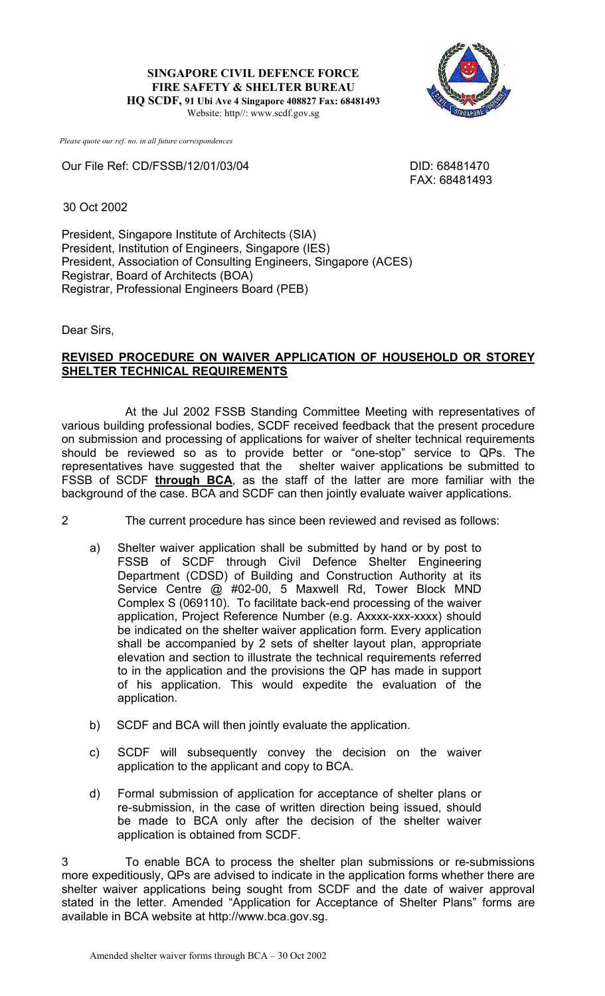**SINGAPORE CIVIL DEFENCE FORCE FIRE SAFETY & SHELTER BUREAU**

**HQ SCDF, 91 Ubi Ave 4 Singapore 408827 Fax: 68481493** Website: http//: www.scdf.gov.sg



 *Please quote our ref. no. in all future correspondences*

Our File Ref: CD/FSSB/12/01/03/04 DID: 68481470

FAX: 68481493

30 Oct 2002

President, Singapore Institute of Architects (SIA) President, Institution of Engineers, Singapore (IES) President, Association of Consulting Engineers, Singapore (ACES) Registrar, Board of Architects (BOA) Registrar, Professional Engineers Board (PEB)

Dear Sirs,

## **REVISED PROCEDURE ON WAIVER APPLICATION OF HOUSEHOLD OR STOREY SHELTER TECHNICAL REQUIREMENTS**

At the Jul 2002 FSSB Standing Committee Meeting with representatives of various building professional bodies, SCDF received feedback that the present procedure on submission and processing of applications for waiver of shelter technical requirements should be reviewed so as to provide better or "one-stop" service to QPs. The representatives have suggested that the shelter waiver applications be submitted to FSSB of SCDF **through BCA**, as the staff of the latter are more familiar with the background of the case. BCA and SCDF can then jointly evaluate waiver applications.

- 2 The current procedure has since been reviewed and revised as follows:
	- a) Shelter waiver application shall be submitted by hand or by post to FSSB of SCDF through Civil Defence Shelter Engineering Department (CDSD) of Building and Construction Authority at its Service Centre @ #02-00, 5 Maxwell Rd, Tower Block MND Complex S (069110). To facilitate back-end processing of the waiver application, Project Reference Number (e.g. Axxxx-xxx-xxxx) should be indicated on the shelter waiver application form. Every application shall be accompanied by 2 sets of shelter layout plan, appropriate elevation and section to illustrate the technical requirements referred to in the application and the provisions the QP has made in support of his application. This would expedite the evaluation of the application.
	- b) SCDF and BCA will then jointly evaluate the application.
	- c) SCDF will subsequently convey the decision on the waiver application to the applicant and copy to BCA.
	- d) Formal submission of application for acceptance of shelter plans or re-submission, in the case of written direction being issued, should be made to BCA only after the decision of the shelter waiver application is obtained from SCDF.

3 To enable BCA to process the shelter plan submissions or re-submissions more expeditiously, QPs are advised to indicate in the application forms whether there are shelter waiver applications being sought from SCDF and the date of waiver approval stated in the letter. Amended "Application for Acceptance of Shelter Plans" forms are available in BCA website at http://www.bca.gov.sg.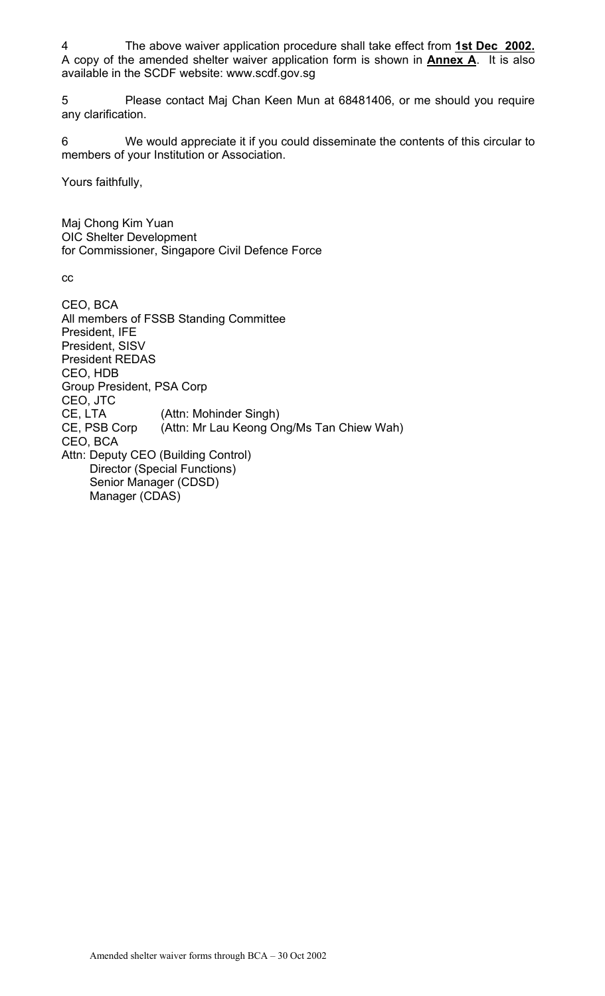4 The above waiver application procedure shall take effect from **1st Dec 2002.** A copy of the amended shelter waiver application form is shown in **Annex A**. It is also available in the SCDF website: www.scdf.gov.sg

5 Please contact Maj Chan Keen Mun at 68481406, or me should you require any clarification.

6 We would appreciate it if you could disseminate the contents of this circular to members of your Institution or Association.

Yours faithfully,

Maj Chong Kim Yuan OIC Shelter Development for Commissioner, Singapore Civil Defence Force

cc

CEO, BCA All members of FSSB Standing Committee President, IFE President, SISV President REDAS CEO, HDB Group President, PSA Corp CEO, JTC CE, LTA (Attn: Mohinder Singh) CE, PSB Corp (Attn: Mr Lau Keong Ong/Ms Tan Chiew Wah) CEO, BCA Attn: Deputy CEO (Building Control) Director (Special Functions) Senior Manager (CDSD) Manager (CDAS)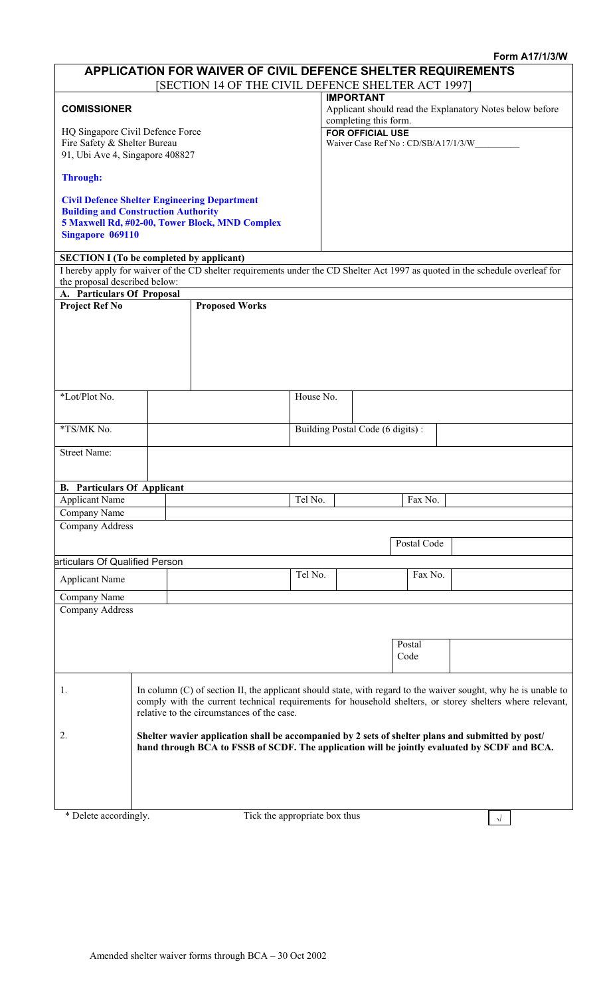| APPLICATION FOR WAIVER OF CIVIL DEFENCE SHELTER REQUIREMENTS<br>SECTION 14 OF THE CIVIL DEFENCE SHELTER ACT 1997]                                                                |                                                                                                                                                                                                                                                                           |                               |           |                                                                                         |  |                |  |            |  |
|----------------------------------------------------------------------------------------------------------------------------------------------------------------------------------|---------------------------------------------------------------------------------------------------------------------------------------------------------------------------------------------------------------------------------------------------------------------------|-------------------------------|-----------|-----------------------------------------------------------------------------------------|--|----------------|--|------------|--|
| <b>COMISSIONER</b>                                                                                                                                                               |                                                                                                                                                                                                                                                                           |                               |           | <b>IMPORTANT</b><br>Applicant should read the Explanatory Notes below before            |  |                |  |            |  |
| HQ Singapore Civil Defence Force<br>Fire Safety & Shelter Bureau<br>91, Ubi Ave 4, Singapore 408827                                                                              |                                                                                                                                                                                                                                                                           |                               |           | completing this form.<br><b>FOR OFFICIAL USE</b><br>Waiver Case Ref No: CD/SB/A17/1/3/W |  |                |  |            |  |
| <b>Through:</b>                                                                                                                                                                  |                                                                                                                                                                                                                                                                           |                               |           |                                                                                         |  |                |  |            |  |
| <b>Civil Defence Shelter Engineering Department</b><br><b>Building and Construction Authority</b><br>5 Maxwell Rd, #02-00, Tower Block, MND Complex<br>Singapore 069110          |                                                                                                                                                                                                                                                                           |                               |           |                                                                                         |  |                |  |            |  |
| <b>SECTION I</b> (To be completed by applicant)<br>I hereby apply for waiver of the CD shelter requirements under the CD Shelter Act 1997 as quoted in the schedule overleaf for |                                                                                                                                                                                                                                                                           |                               |           |                                                                                         |  |                |  |            |  |
| the proposal described below:                                                                                                                                                    |                                                                                                                                                                                                                                                                           |                               |           |                                                                                         |  |                |  |            |  |
| A. Particulars Of Proposal<br><b>Project Ref No</b>                                                                                                                              |                                                                                                                                                                                                                                                                           | <b>Proposed Works</b>         |           |                                                                                         |  |                |  |            |  |
|                                                                                                                                                                                  |                                                                                                                                                                                                                                                                           |                               |           |                                                                                         |  |                |  |            |  |
| *Lot/Plot No.                                                                                                                                                                    |                                                                                                                                                                                                                                                                           |                               | House No. |                                                                                         |  |                |  |            |  |
| *TS/MK No.                                                                                                                                                                       | Building Postal Code (6 digits):                                                                                                                                                                                                                                          |                               |           |                                                                                         |  |                |  |            |  |
| <b>Street Name:</b>                                                                                                                                                              |                                                                                                                                                                                                                                                                           |                               |           |                                                                                         |  |                |  |            |  |
| <b>B.</b> Particulars Of Applicant                                                                                                                                               |                                                                                                                                                                                                                                                                           |                               |           |                                                                                         |  |                |  |            |  |
| <b>Applicant Name</b>                                                                                                                                                            |                                                                                                                                                                                                                                                                           |                               | Tel No.   |                                                                                         |  | Fax No.        |  |            |  |
| Company Name<br>Company Address                                                                                                                                                  |                                                                                                                                                                                                                                                                           |                               |           |                                                                                         |  |                |  |            |  |
|                                                                                                                                                                                  |                                                                                                                                                                                                                                                                           |                               |           |                                                                                         |  | Postal Code    |  |            |  |
| articulars Of Qualified Person                                                                                                                                                   |                                                                                                                                                                                                                                                                           |                               |           |                                                                                         |  |                |  |            |  |
| <b>Applicant Name</b>                                                                                                                                                            |                                                                                                                                                                                                                                                                           |                               | Tel No.   |                                                                                         |  | Fax No.        |  |            |  |
| Company Name                                                                                                                                                                     |                                                                                                                                                                                                                                                                           |                               |           |                                                                                         |  |                |  |            |  |
| Company Address                                                                                                                                                                  |                                                                                                                                                                                                                                                                           |                               |           |                                                                                         |  |                |  |            |  |
|                                                                                                                                                                                  |                                                                                                                                                                                                                                                                           |                               |           |                                                                                         |  |                |  |            |  |
|                                                                                                                                                                                  |                                                                                                                                                                                                                                                                           |                               |           |                                                                                         |  | Postal<br>Code |  |            |  |
| 1.                                                                                                                                                                               | In column (C) of section II, the applicant should state, with regard to the waiver sought, why he is unable to<br>comply with the current technical requirements for household shelters, or storey shelters where relevant,<br>relative to the circumstances of the case. |                               |           |                                                                                         |  |                |  |            |  |
| 2.                                                                                                                                                                               | Shelter wavier application shall be accompanied by 2 sets of shelter plans and submitted by post/<br>hand through BCA to FSSB of SCDF. The application will be jointly evaluated by SCDF and BCA.                                                                         |                               |           |                                                                                         |  |                |  |            |  |
| * Delete accordingly.                                                                                                                                                            |                                                                                                                                                                                                                                                                           | Tick the appropriate box thus |           |                                                                                         |  |                |  | $\sqrt{ }$ |  |